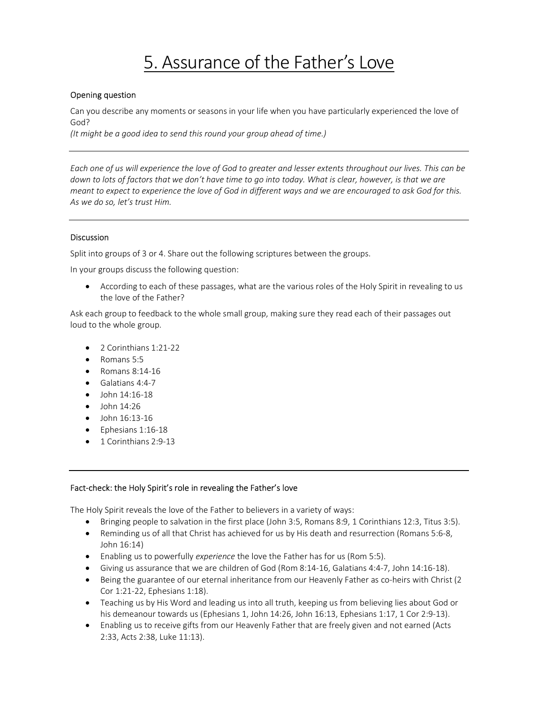# 5. Assurance of the Father's Love

## Opening question

Can you describe any moments or seasons in your life when you have particularly experienced the love of God?

(It might be a good idea to send this round your group ahead of time.)

Each one of us will experience the love of God to greater and lesser extents throughout our lives. This can be down to lots of factors that we don't have time to go into today. What is clear, however, is that we are meant to expect to experience the love of God in different ways and we are encouraged to ask God for this. As we do so, let's trust Him.

# Discussion

Split into groups of 3 or 4. Share out the following scriptures between the groups.

In your groups discuss the following question:

 According to each of these passages, what are the various roles of the Holy Spirit in revealing to us the love of the Father?

Ask each group to feedback to the whole small group, making sure they read each of their passages out loud to the whole group.

- 2 Corinthians 1:21-22
- Romans 5:5
- Romans 8:14-16
- Galatians 4:4-7
- John 14:16-18
- $\bullet$  John 14:26
- $\bullet$  John 16:13-16
- Ephesians 1:16-18
- 1 Corinthians 2:9-13

#### Fact-check: the Holy Spirit's role in revealing the Father's love

The Holy Spirit reveals the love of the Father to believers in a variety of ways:

- Bringing people to salvation in the first place (John 3:5, Romans 8:9, 1 Corinthians 12:3, Titus 3:5).
- Reminding us of all that Christ has achieved for us by His death and resurrection (Romans 5:6-8, John 16:14)
- **Enabling us to powerfully experience the love the Father has for us (Rom 5:5).**
- Giving us assurance that we are children of God (Rom 8:14-16, Galatians 4:4-7, John 14:16-18).
- Being the guarantee of our eternal inheritance from our Heavenly Father as co-heirs with Christ (2 Cor 1:21-22, Ephesians 1:18).
- Teaching us by His Word and leading us into all truth, keeping us from believing lies about God or his demeanour towards us (Ephesians 1, John 14:26, John 16:13, Ephesians 1:17, 1 Cor 2:9-13).
- Enabling us to receive gifts from our Heavenly Father that are freely given and not earned (Acts 2:33, Acts 2:38, Luke 11:13).